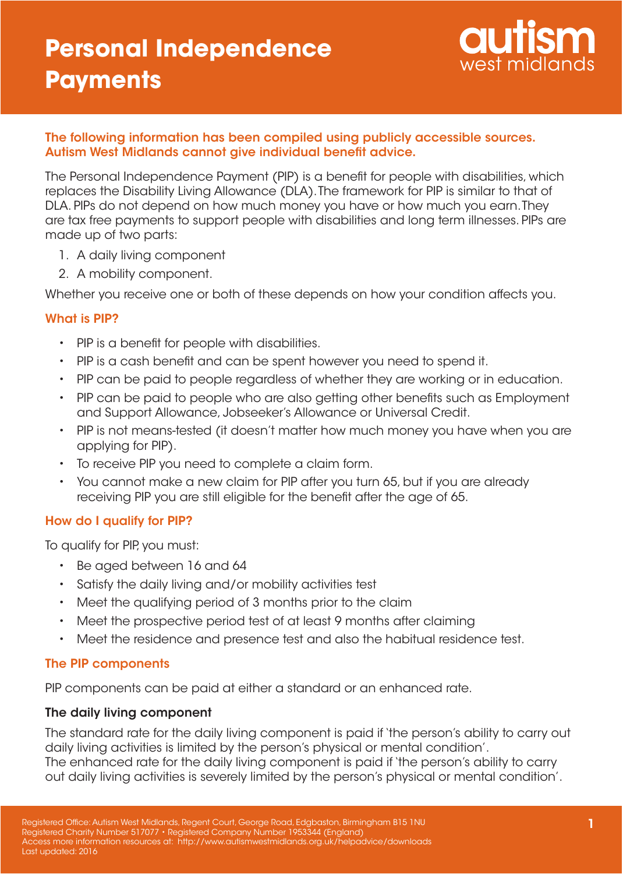

## The following information has been compiled using publicly accessible sources. Autism West Midlands cannot give individual benefit advice.

The Personal Independence Payment (PIP) is a benefit for people with disabilities, which replaces the Disability Living Allowance (DLA). The framework for PIP is similar to that of DLA. PIPs do not depend on how much money you have or how much you earn. They are tax free payments to support people with disabilities and long term illnesses. PIPs are made up of two parts:

- 1. A daily living component
- 2. A mobility component.

Whether you receive one or both of these depends on how your condition affects you.

## What is PIP?

- PIP is a benefit for people with disabilities.
- PIP is a cash benefit and can be spent however you need to spend it.
- PIP can be paid to people regardless of whether they are working or in education.
- PIP can be paid to people who are also getting other benefits such as Employment and Support Allowance, Jobseeker's Allowance or Universal Credit.
- PIP is not means-tested (it doesn't matter how much money you have when you are applying for PIP).
- To receive PIP you need to complete a claim form.
- You cannot make a new claim for PIP after you turn 65, but if you are already receiving PIP you are still eligible for the benefit after the age of 65.

## How do I qualify for PIP?

To qualify for PIP, you must:

- Be aged between 16 and 64
- Satisfy the daily living and/or mobility activities test
- Meet the qualifying period of 3 months prior to the claim
- Meet the prospective period test of at least 9 months after claiming
- Meet the residence and presence test and also the habitual residence test.

### The PIP components

PIP components can be paid at either a standard or an enhanced rate.

### The daily living component

The standard rate for the daily living component is paid if 'the person's ability to carry out daily living activities is limited by the person's physical or mental condition'. The enhanced rate for the daily living component is paid if 'the person's ability to carry out daily living activities is severely limited by the person's physical or mental condition'.